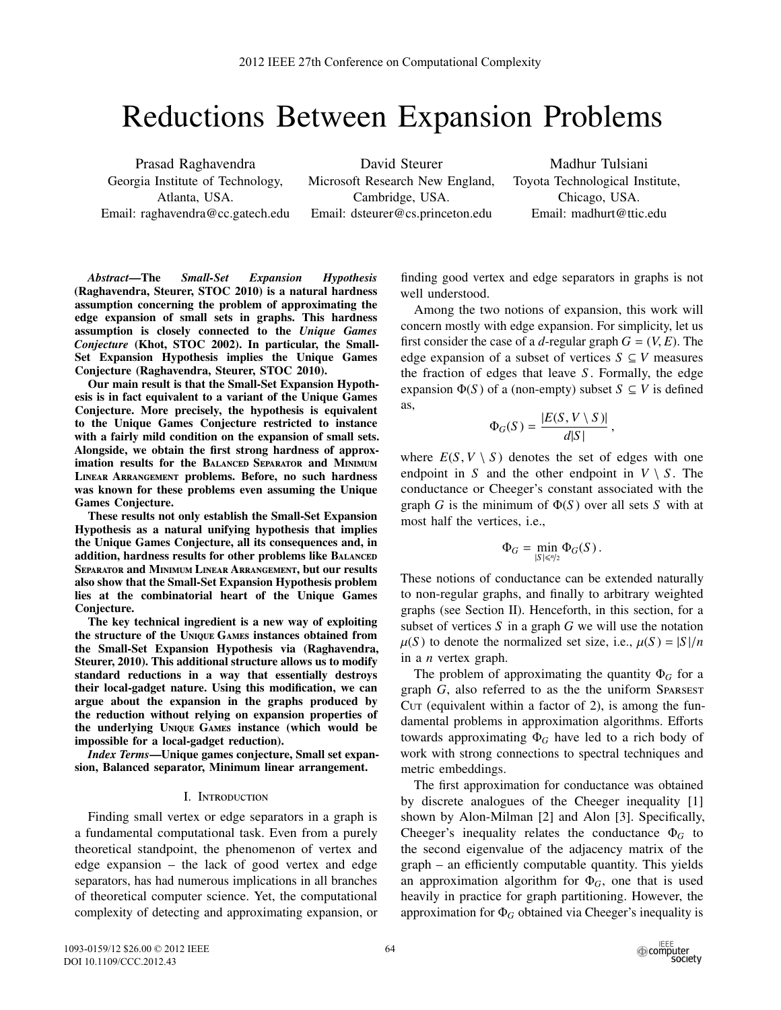# Reductions Between Expansion Problems

Prasad Raghavendra Georgia Institute of Technology, Atlanta, USA. Email: raghavendra@cc.gatech.edu

David Steurer Microsoft Research New England, Cambridge, USA. Email: dsteurer@cs.princeton.edu

Madhur Tulsiani Toyota Technological Institute, Chicago, USA. Email: madhurt@ttic.edu

*Abstract*—The *Small-Set Expansion Hypothesis* (Raghavendra, Steurer, STOC 2010) is a natural hardness assumption concerning the problem of approximating the edge expansion of small sets in graphs. This hardness assumption is closely connected to the *Unique Games Conjecture* (Khot, STOC 2002). In particular, the Small-Set Expansion Hypothesis implies the Unique Games Conjecture (Raghavendra, Steurer, STOC 2010).

Our main result is that the Small-Set Expansion Hypothesis is in fact equivalent to a variant of the Unique Games Conjecture. More precisely, the hypothesis is equivalent to the Unique Games Conjecture restricted to instance with a fairly mild condition on the expansion of small sets. Alongside, we obtain the first strong hardness of approximation results for the BALANCED SEPARATOR and MINIMUM Linear Arrangement problems. Before, no such hardness was known for these problems even assuming the Unique Games Conjecture.

These results not only establish the Small-Set Expansion Hypothesis as a natural unifying hypothesis that implies the Unique Games Conjecture, all its consequences and, in addition, hardness results for other problems like BALANCED Separator and Minimum Linear Arrangement, but our results also show that the Small-Set Expansion Hypothesis problem lies at the combinatorial heart of the Unique Games Conjecture.

The key technical ingredient is a new way of exploiting the structure of the Unique Games instances obtained from the Small-Set Expansion Hypothesis via (Raghavendra, Steurer, 2010). This additional structure allows us to modify standard reductions in a way that essentially destroys their local-gadget nature. Using this modification, we can argue about the expansion in the graphs produced by the reduction without relying on expansion properties of the underlying Unique Games instance (which would be impossible for a local-gadget reduction).

*Index Terms*—Unique games conjecture, Small set expansion, Balanced separator, Minimum linear arrangement.

### I. Introduction

Finding small vertex or edge separators in a graph is a fundamental computational task. Even from a purely theoretical standpoint, the phenomenon of vertex and edge expansion – the lack of good vertex and edge separators, has had numerous implications in all branches of theoretical computer science. Yet, the computational complexity of detecting and approximating expansion, or finding good vertex and edge separators in graphs is not well understood.

Among the two notions of expansion, this work will concern mostly with edge expansion. For simplicity, let us first consider the case of a *d*-regular graph  $G = (V, E)$ . The edge expansion of a subset of vertices  $S \subseteq V$  measures the fraction of edges that leave *S* . Formally, the edge expansion  $\Phi(S)$  of a (non-empty) subset  $S \subseteq V$  is defined as,

$$
\Phi_G(S) = \frac{|E(S, V \setminus S)|}{d|S|},
$$

where  $E(S, V \setminus S)$  denotes the set of edges with one endpoint in *S* and the other endpoint in  $V \setminus S$ . The conductance or Cheeger's constant associated with the graph *G* is the minimum of  $\Phi(S)$  over all sets *S* with at most half the vertices, i.e.,

$$
\Phi_G = \min_{|S| \leq n/2} \Phi_G(S).
$$

These notions of conductance can be extended naturally to non-regular graphs, and finally to arbitrary weighted graphs (see Section II). Henceforth, in this section, for a subset of vertices *S* in a graph *G* we will use the notation  $\mu(S)$  to denote the normalized set size, i.e.,  $\mu(S) = |S|/n$ in a *n* vertex graph.

The problem of approximating the quantity  $\Phi_G$  for a graph *G*, also referred to as the the uniform Sparsest Cut (equivalent within a factor of 2), is among the fundamental problems in approximation algorithms. Efforts towards approximating  $\Phi$ <sup>*G*</sup> have led to a rich body of work with strong connections to spectral techniques and metric embeddings.

The first approximation for conductance was obtained by discrete analogues of the Cheeger inequality [1] shown by Alon-Milman [2] and Alon [3]. Specifically, Cheeger's inequality relates the conductance  $\Phi_G$  to the second eigenvalue of the adjacency matrix of the graph – an efficiently computable quantity. This yields an approximation algorithm for  $\Phi_G$ , one that is used heavily in practice for graph partitioning. However, the approximation for  $\Phi_G$  obtained via Cheeger's inequality is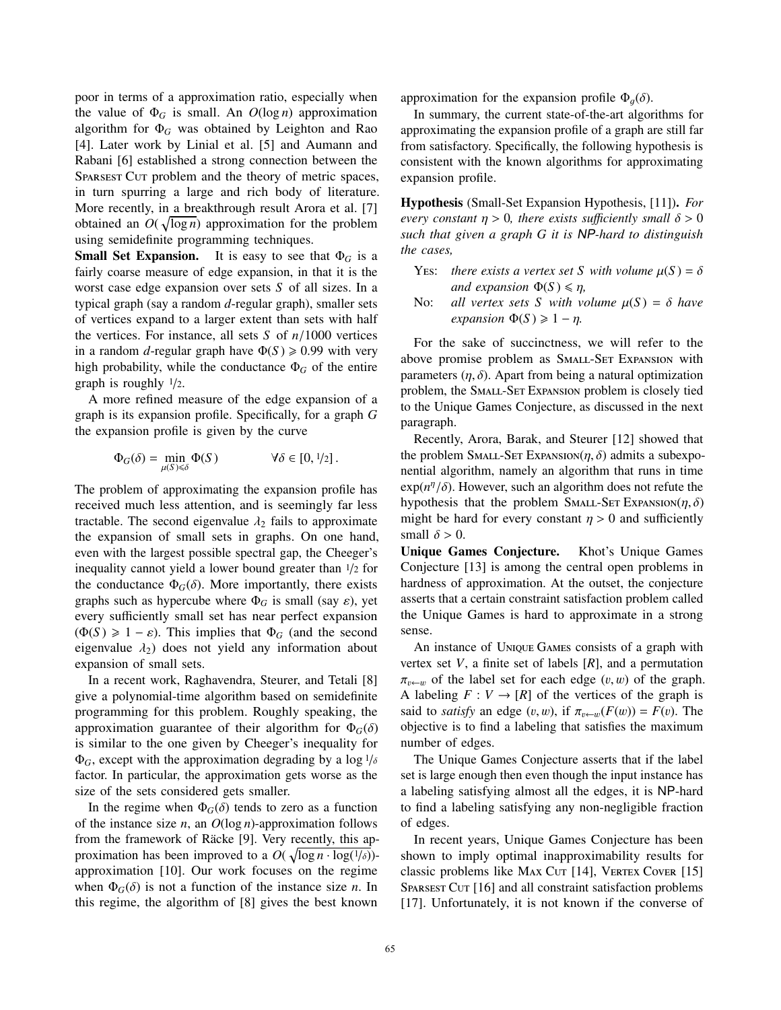poor in terms of a approximation ratio, especially when the value of  $\Phi_G$  is small. An  $O(\log n)$  approximation algorithm for Φ*<sup>G</sup>* was obtained by Leighton and Rao [4]. Later work by Linial et al. [5] and Aumann and Rabani [6] established a strong connection between the SPARSEST CUT problem and the theory of metric spaces, in turn spurring a large and rich body of literature. More recently, in a breakthrough result Arora et al. [7] obtained an  $O(\sqrt{\log n})$  approximation for the problem using semidefinite programming techniques.

**Small Set Expansion.** It is easy to see that  $\Phi_G$  is a fairly coarse measure of edge expansion, in that it is the worst case edge expansion over sets *S* of all sizes. In a typical graph (say a random *d*-regular graph), smaller sets of vertices expand to a larger extent than sets with half the vertices. For instance, all sets *<sup>S</sup>* of *<sup>n</sup>*/1000 vertices in a random *d*-regular graph have  $\Phi(S) \ge 0.99$  with very high probability, while the conductance  $\Phi_G$  of the entire graph is roughly  $\frac{1}{2}$ .

A more refined measure of the edge expansion of a graph is its expansion profile. Specifically, for a graph *G* the expansion profile is given by the curve

$$
\Phi_G(\delta) = \min_{\mu(S) \leq \delta} \Phi(S) \qquad \forall \delta \in [0, 1/2].
$$

The problem of approximating the expansion profile has received much less attention, and is seemingly far less tractable. The second eigenvalue  $\lambda_2$  fails to approximate the expansion of small sets in graphs. On one hand, even with the largest possible spectral gap, the Cheeger's inequality cannot yield a lower bound greater than <sup>1</sup>/<sup>2</sup> for the conductance  $\Phi_G(\delta)$ . More importantly, there exists graphs such as hypercube where  $\Phi_G$  is small (say  $\varepsilon$ ), yet every sufficiently small set has near perfect expansion  $(\Phi(S) \geq 1 - \varepsilon)$ . This implies that  $\Phi_G$  (and the second eigenvalue  $\lambda_2$ ) does not yield any information about expansion of small sets.

In a recent work, Raghavendra, Steurer, and Tetali [8] give a polynomial-time algorithm based on semidefinite programming for this problem. Roughly speaking, the approximation guarantee of their algorithm for  $\Phi_G(\delta)$ is similar to the one given by Cheeger's inequality for  $\Phi$ <sub>*G*</sub>, except with the approximation degrading by a log  $\frac{1}{\delta}$ factor. In particular, the approximation gets worse as the size of the sets considered gets smaller.

In the regime when  $\Phi_G(\delta)$  tends to zero as a function of the instance size *n*, an *O*(log *n*)-approximation follows from the framework of Räcke [9]. Very recently, this approximation has been improved to a  $O(\sqrt{\log n \cdot \log(1/\delta)})$ -<br>approximation [10]. Our work focuses on the regime approximation [10]. Our work focuses on the regime when  $\Phi_G(\delta)$  is not a function of the instance size *n*. In this regime, the algorithm of [8] gives the best known

approximation for the expansion profile  $\Phi_q(\delta)$ .

In summary, the current state-of-the-art algorithms for approximating the expansion profile of a graph are still far from satisfactory. Specifically, the following hypothesis is consistent with the known algorithms for approximating expansion profile.

Hypothesis (Small-Set Expansion Hypothesis, [11]). *For every constant*  $\eta > 0$ , there exists sufficiently small  $\delta > 0$ *such that given a graph G it is* NP*-hard to distinguish the cases,*

- Yes: *there exists a vertex set S with volume*  $\mu(S) = \delta$ *and expansion*  $\Phi(S) \leq \eta$ ,<br>*all vertex sets S* with *y*
- No: *all vertex sets S with volume*  $\mu(S) = \delta$  *have expansion*  $\Phi(S) \geq 1 - \eta$ .

For the sake of succinctness, we will refer to the above promise problem as SMALL-SET EXPANSION with parameters  $(\eta, \delta)$ . Apart from being a natural optimization problem, the SMALL-SET EXPANSION problem is closely tied to the Unique Games Conjecture, as discussed in the next paragraph.

Recently, Arora, Barak, and Steurer [12] showed that the problem SMALL-SET EXPANSION $(\eta, \delta)$  admits a subexponential algorithm, namely an algorithm that runs in time  $\exp(n^{\eta}/\delta)$ . However, such an algorithm does not refute the hypothesis that the problem SMALL-SET EXPANSION $(\eta, \delta)$ might be hard for every constant  $\eta > 0$  and sufficiently small  $\delta > 0$ .

Unique Games Conjecture. Khot's Unique Games Conjecture [13] is among the central open problems in hardness of approximation. At the outset, the conjecture asserts that a certain constraint satisfaction problem called the Unique Games is hard to approximate in a strong sense.

An instance of Unique Games consists of a graph with vertex set *V*, a finite set of labels [*R*], and a permutation  $\pi_{v \leftarrow w}$  of the label set for each edge  $(v, w)$  of the graph. A labeling  $F: V \to [R]$  of the vertices of the graph is said to *satisfy* an edge  $(v, w)$ , if  $\pi_{v \leftarrow w}(F(w)) = F(v)$ . The objective is to find a labeling that satisfies the maximum number of edges.

The Unique Games Conjecture asserts that if the label set is large enough then even though the input instance has a labeling satisfying almost all the edges, it is NP-hard to find a labeling satisfying any non-negligible fraction of edges.

In recent years, Unique Games Conjecture has been shown to imply optimal inapproximability results for classic problems like MAX Cut  $[14]$ , VERTEX COVER  $[15]$ SPARSEST CUT [16] and all constraint satisfaction problems [17]. Unfortunately, it is not known if the converse of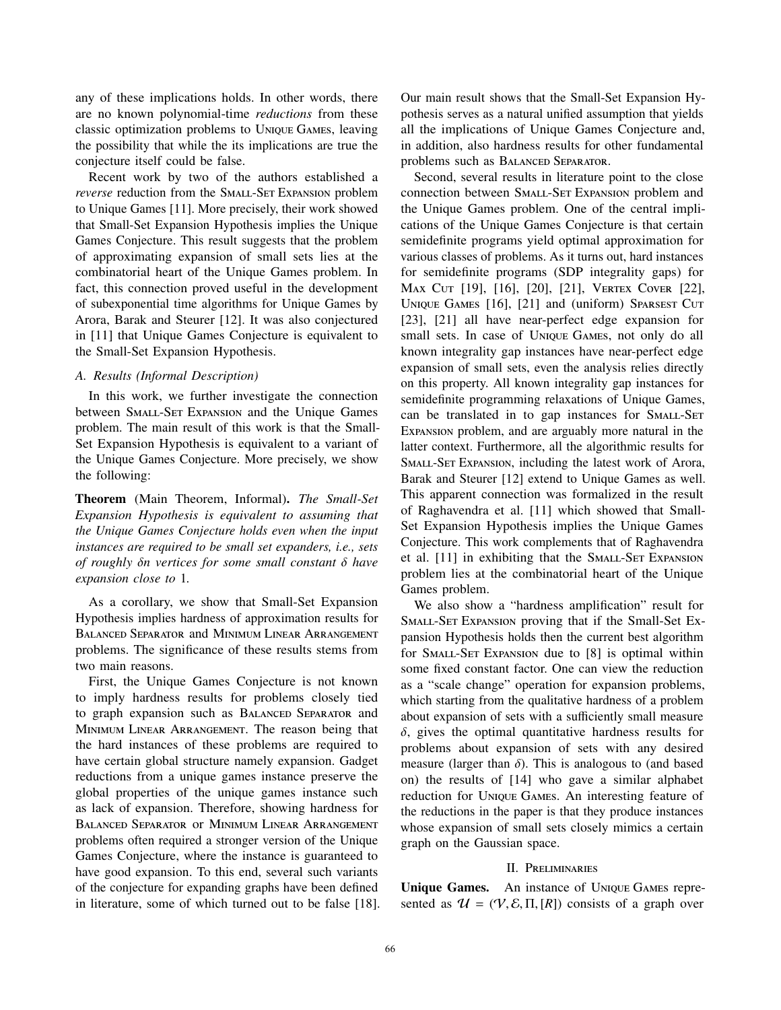any of these implications holds. In other words, there are no known polynomial-time *reductions* from these classic optimization problems to Unique Games, leaving the possibility that while the its implications are true the conjecture itself could be false.

Recent work by two of the authors established a *reverse* reduction from the SMALL-SET EXPANSION problem to Unique Games [11]. More precisely, their work showed that Small-Set Expansion Hypothesis implies the Unique Games Conjecture. This result suggests that the problem of approximating expansion of small sets lies at the combinatorial heart of the Unique Games problem. In fact, this connection proved useful in the development of subexponential time algorithms for Unique Games by Arora, Barak and Steurer [12]. It was also conjectured in [11] that Unique Games Conjecture is equivalent to the Small-Set Expansion Hypothesis.

## *A. Results (Informal Description)*

In this work, we further investigate the connection between SMALL-SET EXPANSION and the Unique Games problem. The main result of this work is that the Small-Set Expansion Hypothesis is equivalent to a variant of the Unique Games Conjecture. More precisely, we show the following:

Theorem (Main Theorem, Informal). *The Small-Set Expansion Hypothesis is equivalent to assuming that the Unique Games Conjecture holds even when the input instances are required to be small set expanders, i.e., sets of roughly* δ*<sup>n</sup> vertices for some small constant* δ *have expansion close to* 1*.*

As a corollary, we show that Small-Set Expansion Hypothesis implies hardness of approximation results for Balanced Separator and Minimum Linear Arrangement problems. The significance of these results stems from two main reasons.

First, the Unique Games Conjecture is not known to imply hardness results for problems closely tied to graph expansion such as BALANCED SEPARATOR and Minimum Linear Arrangement. The reason being that the hard instances of these problems are required to have certain global structure namely expansion. Gadget reductions from a unique games instance preserve the global properties of the unique games instance such as lack of expansion. Therefore, showing hardness for Balanced Separator or Minimum Linear Arrangement problems often required a stronger version of the Unique Games Conjecture, where the instance is guaranteed to have good expansion. To this end, several such variants of the conjecture for expanding graphs have been defined in literature, some of which turned out to be false [18]. Our main result shows that the Small-Set Expansion Hypothesis serves as a natural unified assumption that yields all the implications of Unique Games Conjecture and, in addition, also hardness results for other fundamental problems such as BALANCED SEPARATOR.

Second, several results in literature point to the close connection between SMALL-SET EXPANSION problem and the Unique Games problem. One of the central implications of the Unique Games Conjecture is that certain semidefinite programs yield optimal approximation for various classes of problems. As it turns out, hard instances for semidefinite programs (SDP integrality gaps) for Max Cut [19], [16], [20], [21], Vertex Cover [22], UNIQUE GAMES [16], [21] and (uniform) SPARSEST CUT [23], [21] all have near-perfect edge expansion for small sets. In case of Unique Games, not only do all known integrality gap instances have near-perfect edge expansion of small sets, even the analysis relies directly on this property. All known integrality gap instances for semidefinite programming relaxations of Unique Games, can be translated in to gap instances for SMALL-SET Expansion problem, and are arguably more natural in the latter context. Furthermore, all the algorithmic results for Small-Set Expansion, including the latest work of Arora, Barak and Steurer [12] extend to Unique Games as well. This apparent connection was formalized in the result of Raghavendra et al. [11] which showed that Small-Set Expansion Hypothesis implies the Unique Games Conjecture. This work complements that of Raghavendra et al. [11] in exhibiting that the SMALL-SET EXPANSION problem lies at the combinatorial heart of the Unique Games problem.

We also show a "hardness amplification" result for Small-Set Expansion proving that if the Small-Set Expansion Hypothesis holds then the current best algorithm for Small-Set Expansion due to [8] is optimal within some fixed constant factor. One can view the reduction as a "scale change" operation for expansion problems, which starting from the qualitative hardness of a problem about expansion of sets with a sufficiently small measure  $\delta$ , gives the optimal quantitative hardness results for problems about expansion of sets with any desired measure (larger than  $\delta$ ). This is analogous to (and based on) the results of [14] who gave a similar alphabet reduction for Unique Games. An interesting feature of the reductions in the paper is that they produce instances whose expansion of small sets closely mimics a certain graph on the Gaussian space.

#### II. Preliminaries

Unique Games. An instance of Unique Games represented as  $\mathcal{U} = (\mathcal{V}, \mathcal{E}, \Pi, [R])$  consists of a graph over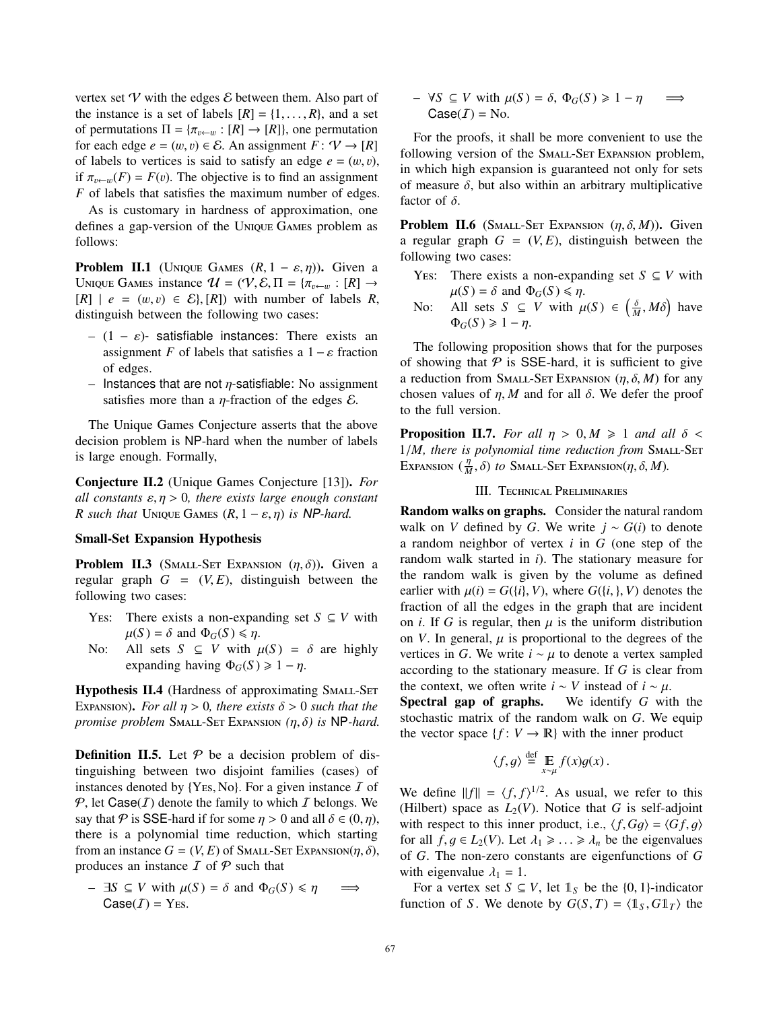vertex set  $\mathcal V$  with the edges  $\mathcal E$  between them. Also part of the instance is a set of labels  $[R] = \{1, \ldots, R\}$ , and a set of permutations  $\Pi = {\pi_{v \leftarrow w} : [R] \rightarrow [R]}$ , one permutation for each edge  $e = (w, v) \in \mathcal{E}$ . An assignment  $F: \mathcal{V} \to [R]$ of labels to vertices is said to satisfy an edge  $e = (w, v)$ , if  $\pi_{v \leftarrow w}(F) = F(v)$ . The objective is to find an assignment *F* of labels that satisfies the maximum number of edges.

As is customary in hardness of approximation, one defines a gap-version of the Unique Games problem as follows:

**Problem II.1** (UNIQUE GAMES  $(R, 1 - \varepsilon, \eta)$ ). Given a UNIQUE GAMES instance  $\mathcal{U} = (\mathcal{V}, \mathcal{E}, \Pi = {\pi_{v \leftarrow w} : [R]} \rightarrow$  $[R]$  |  $e = (w, v) \in \mathcal{E}$ ,  $[R]$ ) with number of labels *R*, distinguish between the following two cases:

- $(1 \varepsilon)$  satisfiable instances: There exists an assignment *F* of labels that satisfies a  $1 - \varepsilon$  fraction of edges.
- Instances that are not  $\eta$ -satisfiable: No assignment satisfies more than a  $\eta$ -fraction of the edges  $\mathcal{E}$ .

The Unique Games Conjecture asserts that the above decision problem is NP-hard when the number of labels is large enough. Formally,

Conjecture II.2 (Unique Games Conjecture [13]). *For all constants* ε, η > <sup>0</sup>*, there exists large enough constant R* such that UNIQUE GAMES  $(R, 1 - \varepsilon, \eta)$  is NP-hard.

# Small-Set Expansion Hypothesis

**Problem II.3** (SMALL-SET EXPANSION  $(\eta, \delta)$ ). Given a regular graph  $G = (V, E)$ , distinguish between the following two cases:

- Yes: There exists a non-expanding set  $S \subseteq V$  with  $\mu(S) = \delta$  and  $\Phi_G(S) \le \eta$ .<br>
All sets  $S \subset V$  with *i*
- No: All sets  $S \subseteq V$  with  $\mu(S) = \delta$  are highly expanding having  $\Phi_G(S) \geq 1 - \eta$ .

Hypothesis II.4 (Hardness of approximating SMALL-SET EXPANSION). *For all*  $\eta > 0$ , there exists  $\delta > 0$  such that the *promise problem* <sup>S</sup>mall-Set <sup>E</sup>xpansion *(*η, δ*) is* NP*-hard.*

**Definition II.5.** Let  $P$  be a decision problem of distinguishing between two disjoint families (cases) of instances denoted by {Yes, No}. For a given instance  $\bar{I}$  of P, let Case( $I$ ) denote the family to which  $I$  belongs. We say that P is SSE-hard if for some  $\eta > 0$  and all  $\delta \in (0, \eta)$ , there is a polynomial time reduction, which starting from an instance  $G = (V, E)$  of SMALL-SET EXPANSION $(\eta, \delta)$ , produces an instance  $I$  of  $P$  such that

 $-$  ∃*S* ⊆ *V* with  $\mu$ (*S*) = δ and Φ<sub>*G*</sub>(*S*) ≤ η ⇒⇒ Case( $I$ ) = Yes.

$$
- \forall S \subseteq V \text{ with } \mu(S) = \delta, \Phi_G(S) \ge 1 - \eta \implies
$$
  
Case(I) = No.

For the proofs, it shall be more convenient to use the following version of the SMALL-SET EXPANSION problem, in which high expansion is guaranteed not only for sets of measure  $\delta$ , but also within an arbitrary multiplicative factor of  $\delta$ .

**Problem II.6** (SMALL-SET EXPANSION  $(\eta, \delta, M)$ ). Given a regular graph  $G = (V, E)$ , distinguish between the following two cases:

- Yes: There exists a non-expanding set  $S \subseteq V$  with  $\mu(S) = \delta$  and  $\Phi_G(S) \le \eta$ .<br>
All sets  $S \subset V$  with *u*
- No: All sets  $S \subseteq V$  with  $\mu(S) \in \left(\frac{\delta}{M}, M\delta\right)$  have  $\Phi_G(S) \geq 1 - \eta$ .

The following proposition shows that for the purposes of showing that  $P$  is SSE-hard, it is sufficient to give a reduction from SMALL-SET EXPANSION  $(\eta, \delta, M)$  for any chosen values of  $\eta$ , *M* and for all  $\delta$ . We defer the proof to the full version.

**Proposition II.7.** *For all*  $\eta > 0, M \ge 1$  *and all*  $\delta$  < 1/*M*, there is polynomial time reduction from SMALL-SET Expansion  $(\frac{\eta}{M}, \delta)$  *to* Small-Set Expansion( $\eta, \delta, M$ ).

## III. Technical Preliminaries

Random walks on graphs. Consider the natural random walk on *V* defined by *G*. We write  $j ∼ G(i)$  to denote a random neighbor of vertex *i* in *G* (one step of the random walk started in *i*). The stationary measure for the random walk is given by the volume as defined earlier with  $\mu(i) = G({i}, V)$ , where  $G({i}, k, V)$  denotes the fraction of all the edges in the graph that are incident on *i*. If *G* is regular, then  $\mu$  is the uniform distribution on *V*. In general,  $\mu$  is proportional to the degrees of the vertices in *G*. We write  $i \sim \mu$  to denote a vertex sampled according to the stationary measure. If *G* is clear from the context, we often write *i* ∼ *V* instead of *i* ∼  $\mu$ .<br>**Spectral gap of graphs.** We identify *G* with the

Spectral gap of graphs. stochastic matrix of the random walk on *G*. We equip the vector space  $\{f : V \to \mathbb{R}\}\)$  with the inner product

$$
\langle f, g \rangle \stackrel{\text{def}}{=} \mathop{\mathbb{E}}_{x \sim \mu} f(x) g(x) \, .
$$

We define  $||f|| = \langle f, f \rangle^{1/2}$ . As usual, we refer to this (Hilbert) space as  $I_2(V)$ . Notice that G is self-adjoint (Hilbert) space as  $L_2(V)$ . Notice that *G* is self-adjoint with respect to this inner product, i.e.,  $\langle f, Gg \rangle = \langle Gf, g \rangle$ <br>for all  $f, g \in I_2(V)$ . Let  $\lambda_1 > \dots > \lambda_n$  be the eigenvalues for all  $f, g \in L_2(V)$ . Let  $\lambda_1 \geq \ldots \geq \lambda_n$  be the eigenvalues of *G*. The non-zero constants are eigenfunctions of *G* with eigenvalue  $\lambda_1 = 1$ .

For a vertex set  $S \subseteq V$ , let  $\mathbb{1}_S$  be the  $\{0, 1\}$ -indicator function of *S*. We denote by  $G(S, T) = \langle 1_S, G1_T \rangle$  the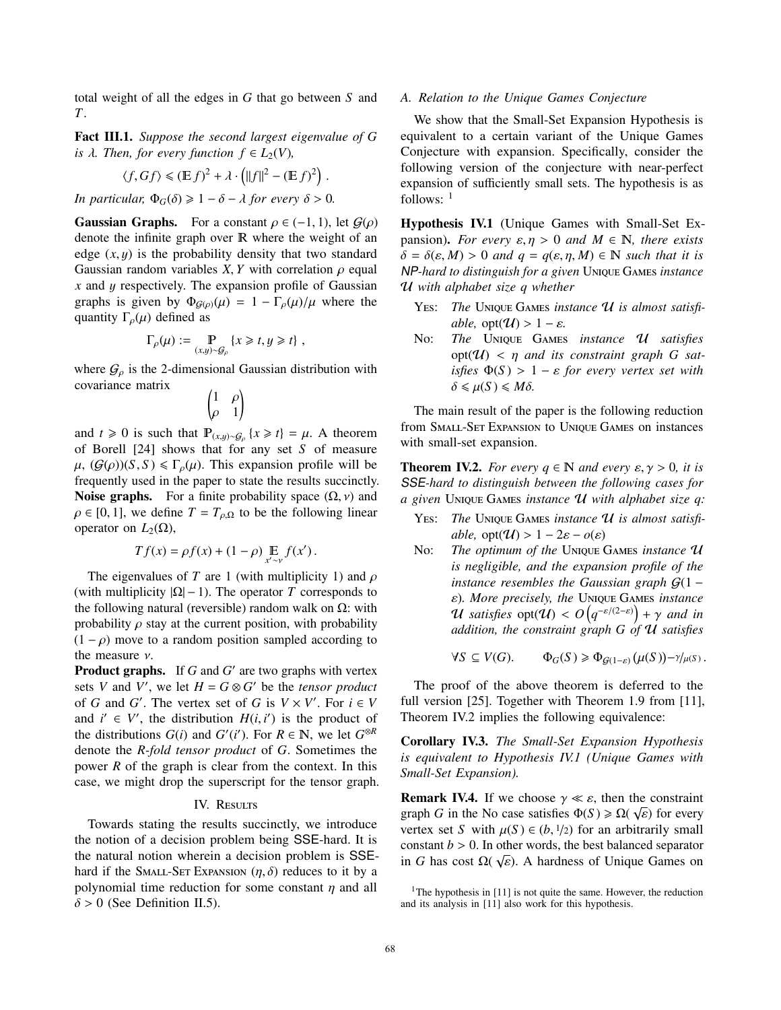total weight of all the edges in *G* that go between *S* and *T*.

Fact III.1. *Suppose the second largest eigenvalue of G is*  $\lambda$ *. Then, for every function*  $f \in L_2(V)$ *,* 

$$
\langle f, Gf \rangle \leqslant (\mathbb{E} f)^2 + \lambda \cdot \left( ||f||^2 - (\mathbb{E} f)^2 \right).
$$

*In particular,*  $\Phi_G(\delta) \geq 1 - \delta - \lambda$  *for every*  $\delta > 0$ *.* 

**Gaussian Graphs.** For a constant  $\rho \in (-1, 1)$ , let  $\mathcal{G}(\rho)$ denote the infinite graph over  $\mathbb R$  where the weight of an edge  $(x, y)$  is the probability density that two standard Gaussian random variables *X*, *Y* with correlation  $\rho$  equal *<sup>x</sup>* and y respectively. The expansion profile of Gaussian graphs is given by  $\Phi_{G(\rho)}(\mu) = 1 - \Gamma_{\rho}(\mu)/\mu$  where the quantity  $\Gamma_o(\mu)$  defined as

$$
\Gamma_\rho(\mu):=\mathop{\mathbb P}_{(x,y)\sim\mathcal G_\rho}\left\{x\geq t,y\geq t\right\}\,,
$$

where  $G_{\rho}$  is the 2-dimensional Gaussian distribution with covariance matrix

$$
\begin{pmatrix} 1 & \rho \\ \rho & 1 \end{pmatrix}
$$

and *t*  $\geq 0$  is such that  $\mathbb{P}_{(x,y)\sim\mathcal{G}_{\rho}}\{x\geq t\} = \mu$ . A theorem of Borell [24] shows that for any set S of measure of Borell [24] shows that for any set *S* of measure  $\mu$ ,  $(\mathcal{G}(\rho))(S, S) \leq \Gamma_{\rho}(\mu)$ . This expansion profile will be frequently used in the paper to state the results succinctly frequently used in the paper to state the results succinctly. **Noise graphs.** For a finite probability space  $(\Omega, v)$  and  $\rho \in [0, 1]$ , we define  $T = T_{\rho, \Omega}$  to be the following linear operator on  $L_2(\Omega)$ ,

$$
Tf(x) = \rho f(x) + (1 - \rho) \mathop{\mathbb{E}}_{x' \sim y} f(x').
$$

The eigenvalues of *T* are 1 (with multiplicity 1) and  $\rho$ (with multiplicity  $|\Omega| - 1$ ). The operator *T* corresponds to the following natural (reversible) random walk on  $Ω$ : with probability  $\rho$  stay at the current position, with probability  $(1 - \rho)$  move to a random position sampled according to the measure ν.

**Product graphs.** If *G* and *G'* are two graphs with vertex sets *V* and *V'*, we let  $H = G \otimes G'$  be the *tensor product* of *G* and *G*'. The vertex set of *G* is  $V \times V'$ . For  $i \in V$ and  $i' \in V'$ , the distribution  $H(i, i')$  is the product of the distributions  $G(i)$  and  $G'(i')$ . For  $R \in \mathbb{N}$ , we let  $G^{\otimes R}$ the distributions  $G(i)$  and  $G'(i')$ . For  $R \in \mathbb{N}$ , we let  $G^{\otimes R}$ denote the *R-fold tensor product* of *G*. Sometimes the power *R* of the graph is clear from the context. In this case, we might drop the superscript for the tensor graph.

#### IV. RESULTS

Towards stating the results succinctly, we introduce the notion of a decision problem being SSE-hard. It is the natural notion wherein a decision problem is SSEhard if the SMALL-SET EXPANSION  $(\eta, \delta)$  reduces to it by a polynomial time reduction for some constant  $\eta$  and all  $\delta$  > 0 (See Definition II.5).

## *A. Relation to the Unique Games Conjecture*

We show that the Small-Set Expansion Hypothesis is equivalent to a certain variant of the Unique Games Conjecture with expansion. Specifically, consider the following version of the conjecture with near-perfect expansion of sufficiently small sets. The hypothesis is as follows:  $1$ 

Hypothesis IV.1 (Unique Games with Small-Set Expansion). *For every*  $\varepsilon, \eta > 0$  *and*  $M \in \mathbb{N}$ *, there exists*  $\delta = \delta(\varepsilon, M) > 0$  *and*  $q = q(\varepsilon, \eta, M) \in \mathbb{N}$  *such that it is* NP*-hard to distinguish for a given* Unique Games *instance* U *with alphabet size q whether*

- YES: The UNIQUE GAMES instance U is almost satisfi*able,*  $opt(\mathcal{U}) > 1 - \varepsilon$ *.*
- No: *The* Unique Games *instance* U *satisfies* opt(U) < η *and its constraint graph <sup>G</sup> satisfies*  $\Phi(S) > 1 - \varepsilon$  *for every vertex set with*  $\delta \leq \mu(S) \leq M\delta$ .

The main result of the paper is the following reduction from Small-Set Expansion to Unique Games on instances with small-set expansion.

**Theorem IV.2.** *For every*  $q \in \mathbb{N}$  *and every*  $\varepsilon, \gamma > 0$ *, it is* SSE*-hard to distinguish between the following cases for a given* Unique Games *instance* U *with alphabet size q:*

- YES: The UNIQUE GAMES instance  $\mathcal U$  is almost satisfi*able,*  $opt(\mathcal{U}) > 1 - 2\varepsilon - o(\varepsilon)$
- No: *The optimum of the* Unique Games *instance* U *is negligible, and the expansion profile of the instance resembles the Gaussian graph* G(1 − ε)*. More precisely, the* <sup>U</sup>nique <sup>G</sup>ames *instance* U satisfies  $opt(U) < O(q^{-\varepsilon/(2-\varepsilon)}) + \gamma$  and in<br>addition, the constraint graph G of U satisfies *addition, the constraint graph G of* U *satisfies*

 $\forall S \subseteq V(G). \qquad \Phi_G(S) \geq \Phi_{\mathcal{G}(1-\varepsilon)}(\mu(S)) - \gamma/\mu(S).$ 

The proof of the above theorem is deferred to the full version [25]. Together with Theorem 1.9 from [11], Theorem IV.2 implies the following equivalence:

Corollary IV.3. *The Small-Set Expansion Hypothesis is equivalent to Hypothesis IV.1 (Unique Games with Small-Set Expansion).*

**Remark IV.4.** If we choose  $\gamma \ll \varepsilon$ , then the constraint oranh G in the No case satisfies  $\Phi(S) > O(\sqrt{\varepsilon})$  for every graph *G* in the No case satisfies  $\Phi(S) \ge \Omega(\sqrt{\varepsilon})$  for every<br>vertex set *S* with  $\mu(S) \in (b, 1/2)$  for an arbitrarily small vertex set *S* with  $\mu(S) \in (b, \frac{1}{2})$  for an arbitrarily small constant *b* > 0. In other words, the best balanced separator<br>in G has cost  $O(1\sqrt{6})$ . A hardness of Unique Games on in *G* has cost  $\Omega(\sqrt{\varepsilon})$ . A hardness of Unique Games on

<sup>&</sup>lt;sup>1</sup>The hypothesis in  $[11]$  is not quite the same. However, the reduction and its analysis in [11] also work for this hypothesis.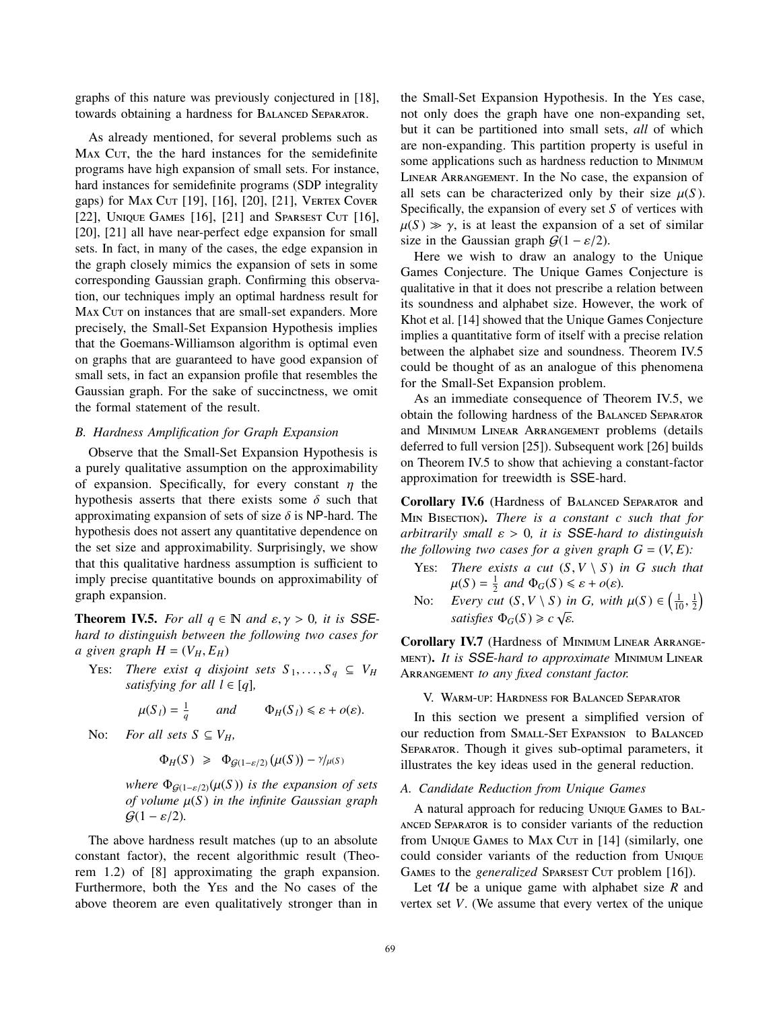graphs of this nature was previously conjectured in [18], towards obtaining a hardness for BALANCED SEPARATOR.

As already mentioned, for several problems such as MAX CUT, the the hard instances for the semidefinite programs have high expansion of small sets. For instance, hard instances for semidefinite programs (SDP integrality gaps) for Max Cut [19], [16], [20], [21], Vertex Cover [22], UNIQUE GAMES [16], [21] and SPARSEST CUT [16], [20], [21] all have near-perfect edge expansion for small sets. In fact, in many of the cases, the edge expansion in the graph closely mimics the expansion of sets in some corresponding Gaussian graph. Confirming this observation, our techniques imply an optimal hardness result for Max Cut on instances that are small-set expanders. More precisely, the Small-Set Expansion Hypothesis implies that the Goemans-Williamson algorithm is optimal even on graphs that are guaranteed to have good expansion of small sets, in fact an expansion profile that resembles the Gaussian graph. For the sake of succinctness, we omit the formal statement of the result.

## *B. Hardness Amplification for Graph Expansion*

Observe that the Small-Set Expansion Hypothesis is a purely qualitative assumption on the approximability of expansion. Specifically, for every constant  $\eta$  the hypothesis asserts that there exists some  $\delta$  such that approximating expansion of sets of size  $\delta$  is NP-hard. The hypothesis does not assert any quantitative dependence on the set size and approximability. Surprisingly, we show that this qualitative hardness assumption is sufficient to imply precise quantitative bounds on approximability of graph expansion.

**Theorem IV.5.** *For all*  $q \in \mathbb{N}$  *and*  $\varepsilon, \gamma > 0$ *, it is* SSE*hard to distinguish between the following two cases for a* given graph  $H = (V_H, E_H)$ 

Yes: *There exist q disjoint sets*  $S_1, \ldots, S_q \subseteq V_H$ *satisfying for all*  $l \in [q]$ *,* 

 $\mu(S_l) = \frac{1}{q}$  and  $\Phi_H(S_l) \leq \varepsilon + o(\varepsilon).$ 

No: *For all sets*  $S \subseteq V_H$ ,

$$
\Phi_H(S) \geq \Phi_{\mathcal{G}(1-\varepsilon/2)}(\mu(S)) - \gamma/\mu(S)
$$

*where*  $\Phi_{G(1-\varepsilon/2)}(\mu(S))$  *is the expansion of sets of volume* μ(*<sup>S</sup>* ) *in the infinite Gaussian graph*  $G(1 - \varepsilon/2)$ .

The above hardness result matches (up to an absolute constant factor), the recent algorithmic result (Theorem 1.2) of [8] approximating the graph expansion. Furthermore, both the Yes and the No cases of the above theorem are even qualitatively stronger than in

the Small-Set Expansion Hypothesis. In the Yes case, not only does the graph have one non-expanding set, but it can be partitioned into small sets, *all* of which are non-expanding. This partition property is useful in some applications such as hardness reduction to MINIMUM Linear Arrangement. In the No case, the expansion of all sets can be characterized only by their size  $\mu(S)$ . Specifically, the expansion of every set *S* of vertices with  $\mu(S) \gg \gamma$ , is at least the expansion of a set of similar size in the Gaussian graph  $G(1 - \varepsilon/2)$ .

Here we wish to draw an analogy to the Unique Games Conjecture. The Unique Games Conjecture is qualitative in that it does not prescribe a relation between its soundness and alphabet size. However, the work of Khot et al. [14] showed that the Unique Games Conjecture implies a quantitative form of itself with a precise relation between the alphabet size and soundness. Theorem IV.5 could be thought of as an analogue of this phenomena for the Small-Set Expansion problem.

As an immediate consequence of Theorem IV.5, we obtain the following hardness of the BALANCED SEPARATOR and Minimum Linear Arrangement problems (details deferred to full version [25]). Subsequent work [26] builds on Theorem IV.5 to show that achieving a constant-factor approximation for treewidth is SSE-hard.

Corollary IV.6 (Hardness of BALANCED SEPARATOR and Min Bisection). *There is a constant c such that for arbitrarily small* ε > <sup>0</sup>*, it is* SSE*-hard to distinguish the following two cases for a given graph*  $G = (V, E)$ *:* 

- Yes: *There exists a cut*  $(S, V \setminus S)$  *in G such that*  $\mu(S) = \frac{1}{2}$  and  $\Phi_G(S) \leq \varepsilon + o(\varepsilon)$ .<br>Even get  $(S, V \setminus S)$  in  $C$ , with
- No: *Every cut*  $(S, V \setminus S)$  *in G*, with  $\mu(S) \in \left(\frac{1}{10}, \frac{1}{2}\right)$ *satisfies*  $\Phi_G(S) \geqslant c \sqrt{\varepsilon}$ .

Corollary IV.7 (Hardness of Minimum Linear Arrangement). *It is* SSE*-hard to approximate* Minimum Linear Arrangement *to any fixed constant factor.*

## V. Warm-up: Hardness for Balanced Separator

In this section we present a simplified version of our reduction from SMALL-SET EXPANSION to BALANCED Separator. Though it gives sub-optimal parameters, it illustrates the key ideas used in the general reduction.

## *A. Candidate Reduction from Unique Games*

A natural approach for reducing Unique Games to Balanced Separator is to consider variants of the reduction from UNIQUE GAMES to MAX CUT in [14] (similarly, one could consider variants of the reduction from Unique GAMES to the *generalized* SPARSEST CUT problem [16]).

Let  $U$  be a unique game with alphabet size  $R$  and vertex set *V*. (We assume that every vertex of the unique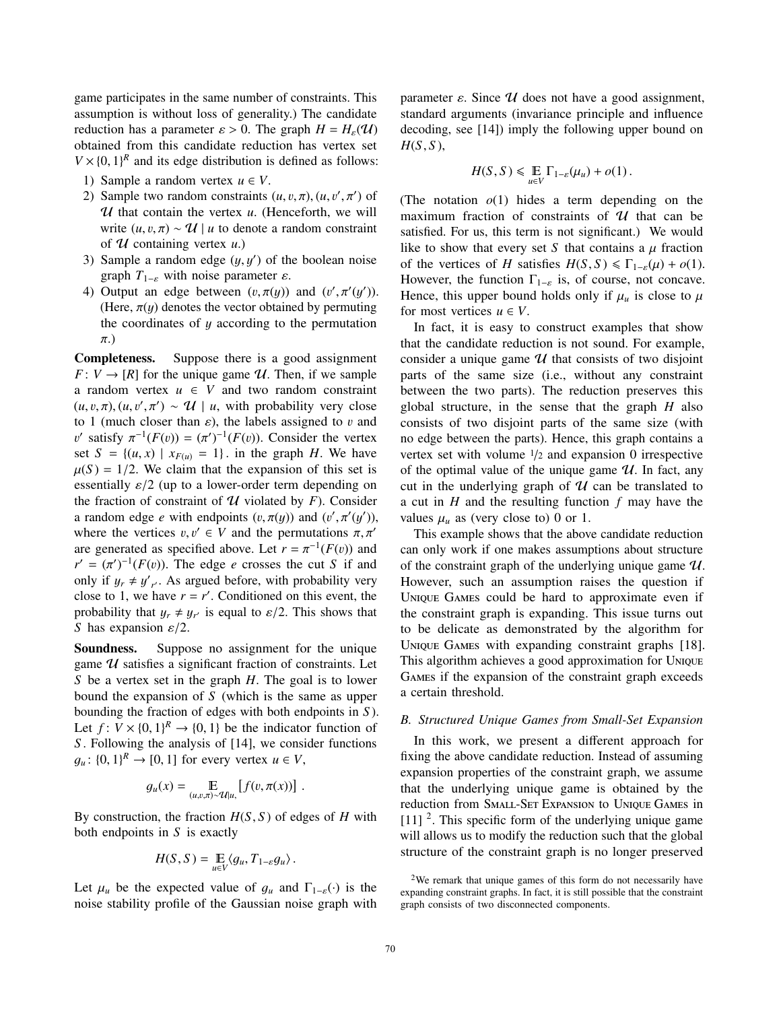game participates in the same number of constraints. This assumption is without loss of generality.) The candidate reduction has a parameter  $\varepsilon > 0$ . The graph  $H = H_{\varepsilon}(\mathcal{U})$ obtained from this candidate reduction has vertex set  $V \times \{0, 1\}^R$  and its edge distribution is defined as follows:

- 1) Sample a random vertex  $u \in V$ .
- 2) Sample two random constraints  $(u, v, \pi)$ ,  $(u, v', \pi')$  of  $u$ , that contain the vertex  $u$ . (Henceforth, we will  $U$  that contain the vertex  $u$ . (Henceforth, we will write  $(u, v, \pi) \sim U | u$  to denote a random constraint of  $U$  containing vertex  $u$ .)
- 3) Sample a random edge  $(y, y')$  of the boolean noise<br>
graph  $T<sub>z</sub>$  with noise parameter s graph  $T_{1-\varepsilon}$  with noise parameter  $\varepsilon$ .
- 4) Output an edge between  $(v, \pi(y))$  and  $(v', \pi'(y'))$ .<br>(Here  $\pi(u)$  denotes the vector obtained by permuting (Here,  $\pi(y)$  denotes the vector obtained by permuting the coordinates of  $y$  according to the permutation

 $\pi$ .)<br>Completeness. Suppose there is a good assignment  $F: V \to [R]$  for the unique game U. Then, if we sample a random vertex  $u \in V$  and two random constraint  $(u, v, \pi), (u, v', \pi') \sim U \mid u$ , with probability very close<br>to 1 (much closer than s) the labels assigned to v and to 1 (much closer than  $\varepsilon$ ), the labels assigned to v and v' satisfy  $\pi^{-1}(F(v)) = (\pi')^{-1}(F(v))$ . Consider the vertex set  $S = f(u, x) + x(x) = 11$  in the graph *H*. We have set  $S = \{(u, x) | x_{F(u)} = 1\}$ . in the graph *H*. We have  $\mu(S) = 1/2$ . We claim that the expansion of this set is essentially  $\varepsilon/2$  (up to a lower-order term depending on the fraction of constraint of  $U$  violated by *F*). Consider a random edge *e* with endpoints  $(v, \pi(y))$  and  $(v', \pi'(y'))$ ,<br>where the vertices  $v, v' \in V$  and the permutations  $\pi, \pi'$ where the vertices  $v, v' \in V$  and the permutations  $\pi, \pi'$ are generated as specified above. Let  $r = \pi^{-1}(F(v))$  and  $r' = (\pi')^{-1}(F(v))$ . The edge *e* crosses the cut *S* if and only if  $u \neq u'$ . As aroued before with probability very only if  $y_r \neq y'_{r'}$ . As argued before, with probability very close to 1 we have  $r = r'$ . Conditioned on this event the close to 1, we have  $r = r'$ . Conditioned on this event, the probability that  $y_r \neq y_{r'}$  is equal to  $\varepsilon/2$ . This shows that S has expansion  $\varepsilon/2$ *S* has expansion  $\varepsilon/2$ .<br>**Soundness.** Suppo

Suppose no assignment for the unique game  $U$  satisfies a significant fraction of constraints. Let *S* be a vertex set in the graph *H*. The goal is to lower bound the expansion of *S* (which is the same as upper bounding the fraction of edges with both endpoints in *S* ). Let  $f: V \times \{0, 1\}^R \to \{0, 1\}$  be the indicator function of  $S$ . Following the analysis of 1141, we consider functions *S* . Following the analysis of [14], we consider functions  $g_u: \{0, 1\}^R \to [0, 1]$  for every vertex  $u \in V$ ,

$$
g_u(x) = \mathop{\mathbb{E}}_{(u,v,\pi) \sim \mathcal{U}|u,}[f(v,\pi(x))] .
$$

By construction, the fraction *<sup>H</sup>*(*S*, *<sup>S</sup>* ) of edges of *<sup>H</sup>* with both endpoints in *S* is exactly

$$
H(S, S) = \mathop{\mathbb{E}}_{u \in V} \langle g_u, T_{1-\varepsilon} g_u \rangle.
$$

Let  $\mu_u$  be the expected value of  $g_u$  and  $\Gamma_{1-\varepsilon}(\cdot)$  is the noise stability profile of the Gaussian noise graph with parameter  $\varepsilon$ . Since  $\mathcal U$  does not have a good assignment, standard arguments (invariance principle and influence decoding, see [14]) imply the following upper bound on *<sup>H</sup>*(*S*, *<sup>S</sup>* ),

$$
H(S, S) \leq \mathop{\mathbb{E}}_{u \in V} \Gamma_{1-\varepsilon}(\mu_u) + o(1) \, .
$$

(The notation  $o(1)$  hides a term depending on the maximum fraction of constraints of  $U$  that can be satisfied. For us, this term is not significant.) We would like to show that every set *S* that contains a  $\mu$  fraction of the vertices of *H* satisfies  $H(S, S) \leq \Gamma_{1-\varepsilon}(\mu) + o(1)$ .<br>However the function  $\Gamma$ , is of course not concave However, the function  $\Gamma_{1-\varepsilon}$  is, of course, not concave. Hence, this upper bound holds only if  $\mu_u$  is close to  $\mu$ for most vertices  $u \in V$ .

In fact, it is easy to construct examples that show that the candidate reduction is not sound. For example, consider a unique game  $\mathcal U$  that consists of two disjoint parts of the same size (i.e., without any constraint between the two parts). The reduction preserves this global structure, in the sense that the graph *H* also consists of two disjoint parts of the same size (with no edge between the parts). Hence, this graph contains a vertex set with volume  $\frac{1}{2}$  and expansion 0 irrespective of the optimal value of the unique game  $U$ . In fact, any cut in the underlying graph of  $\mathcal U$  can be translated to a cut in *H* and the resulting function *f* may have the values  $\mu_u$  as (very close to) 0 or 1.

This example shows that the above candidate reduction can only work if one makes assumptions about structure of the constraint graph of the underlying unique game  $\mathcal{U}$ . However, such an assumption raises the question if Unique Games could be hard to approximate even if the constraint graph is expanding. This issue turns out to be delicate as demonstrated by the algorithm for Unique Games with expanding constraint graphs [18]. This algorithm achieves a good approximation for Unique Games if the expansion of the constraint graph exceeds a certain threshold.

### *B. Structured Unique Games from Small-Set Expansion*

In this work, we present a different approach for fixing the above candidate reduction. Instead of assuming expansion properties of the constraint graph, we assume that the underlying unique game is obtained by the reduction from SMALL-SET EXPANSION to UNIQUE GAMES in  $[11]$ <sup>2</sup>. This specific form of the underlying unique game will allows us to modify the reduction such that the global structure of the constraint graph is no longer preserved

<sup>2</sup>We remark that unique games of this form do not necessarily have expanding constraint graphs. In fact, it is still possible that the constraint graph consists of two disconnected components.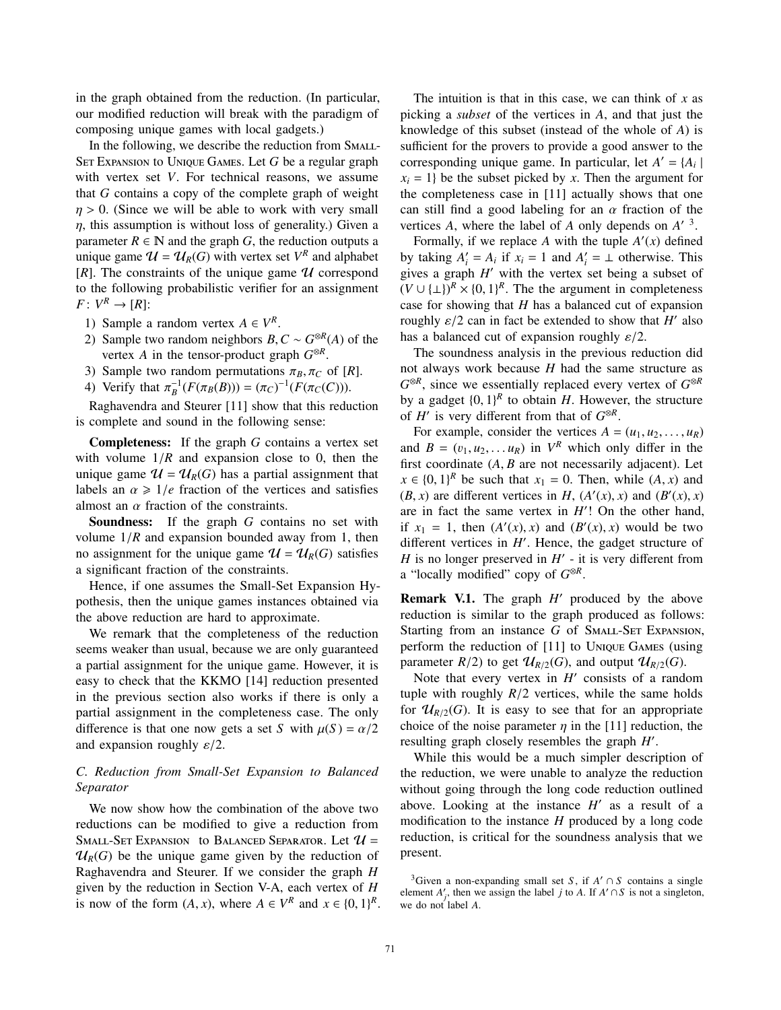in the graph obtained from the reduction. (In particular, our modified reduction will break with the paradigm of composing unique games with local gadgets.)

In the following, we describe the reduction from SMALL-Set Expansion to Unique Games. Let *G* be a regular graph with vertex set *V*. For technical reasons, we assume that *G* contains a copy of the complete graph of weight  $\eta > 0$ . (Since we will be able to work with very small  $\eta$ , this assumption is without loss of generality.) Given a parameter  $R \in \mathbb{N}$  and the graph *G*, the reduction outputs a unique game  $\mathcal{U} = \mathcal{U}_R(G)$  with vertex set  $V^R$  and alphabet [ $R$ ]. The constraints of the unique game  $U$  correspond to the following probabilistic verifier for an assignment  $F: V^R \to [R]$ :

- 1) Sample a random vertex  $A \in V^R$ .
- 2) Sample two random neighbors *B*,  $C \sim G^{\otimes R}(A)$  of the vertex *A* in the tensor-product graph  $G^{\otimes R}$ .
- 3) Sample two random permutations  $\pi_B, \pi_C$  of [R].
- 4) Verify that  $\pi_B^{-1}(F(\pi_B(B))) = (\pi_C)^{-1}(F(\pi_C(C)))$ .

Raghavendra and Steurer [11] show that this reduction is complete and sound in the following sense:

Completeness: If the graph *G* contains a vertex set with volume  $1/R$  and expansion close to 0, then the unique game  $\mathcal{U} = \mathcal{U}_R(G)$  has a partial assignment that labels an  $\alpha \geq 1/e$  fraction of the vertices and satisfies almost an  $\alpha$  fraction of the constraints.

Soundness: If the graph *G* contains no set with volume  $1/R$  and expansion bounded away from 1, then no assignment for the unique game  $\mathcal{U} = \mathcal{U}_R(G)$  satisfies a significant fraction of the constraints.

Hence, if one assumes the Small-Set Expansion Hypothesis, then the unique games instances obtained via the above reduction are hard to approximate.

We remark that the completeness of the reduction seems weaker than usual, because we are only guaranteed a partial assignment for the unique game. However, it is easy to check that the KKMO [14] reduction presented in the previous section also works if there is only a partial assignment in the completeness case. The only difference is that one now gets a set *S* with  $\mu(S) = \alpha/2$ and expansion roughly  $\varepsilon/2$ .

# *C. Reduction from Small-Set Expansion to Balanced Separator*

We now show how the combination of the above two reductions can be modified to give a reduction from SMALL-SET EXPANSION to BALANCED SEPARATOR. Let  $\mathcal{U}$  =  $\mathcal{U}_R(G)$  be the unique game given by the reduction of Raghavendra and Steurer. If we consider the graph *H* given by the reduction in Section V-A, each vertex of *H* is now of the form  $(A, x)$ , where  $A \in V^R$  and  $x \in \{0, 1\}^R$ .

The intuition is that in this case, we can think of *x* as picking a *subset* of the vertices in *A*, and that just the knowledge of this subset (instead of the whole of *A*) is sufficient for the provers to provide a good answer to the corresponding unique game. In particular, let  $A' = \{A_i |$  $x_i = 1$ } be the subset picked by *x*. Then the argument for the completeness case in [11] actually shows that one can still find a good labeling for an  $\alpha$  fraction of the vertices *A*, where the label of *A* only depends on  $A^{\prime 3}$ .

Formally, if we replace  $A$  with the tuple  $A'(x)$  defined by taking  $A'_i = A_i$  if  $x_i = 1$  and  $A'_i = \perp$  otherwise. This gives a graph *H* with the vertex set being a subset of  $(V \cup {\perp})^R \times \{0, 1\}^R$ . The the argument in completeness<br>case for showing that *H* has a halanced cut of expansion case for showing that *H* has a balanced cut of expansion roughly  $\varepsilon/2$  can in fact be extended to show that *H'* also has a balanced cut of expansion roughly  $\varepsilon/2$ .

The soundness analysis in the previous reduction did not always work because *H* had the same structure as  $G^{\otimes R}$ , since we essentially replaced every vertex of  $G^{\otimes R}$ by a gadget  $\{0, 1\}^R$  to obtain *H*. However, the structure of *H'* is very different from that of  $G^{\otimes R}$ of *H'* is very different from that of  $G^{\otimes R}$ .

For example, consider the vertices  $A = (u_1, u_2, \dots, u_R)$ and  $B = (v_1, u_2, \dots, u_R)$  in  $V^R$  which only differ in the first coordinate (*A*, *<sup>B</sup>* are not necessarily adjacent). Let  $x \in \{0, 1\}^R$  be such that  $x_1 = 0$ . Then, while  $(A, x)$  and  $(B(x), x)$  are different vertices in  $H(A'(x), x)$  and  $(B'(x), x)$  $(B, x)$  are different vertices in *H*,  $(A'(x), x)$  and  $(B'(x), x)$ <br>are in fact the same vertex in *H*<sup>'</sup>! On the other hand are in fact the same vertex in *H* ! On the other hand, if  $x_1 = 1$ , then  $(A'(x), x)$  and  $(B'(x), x)$  would be two<br>different vertices in  $H'$ . Hence, the gadget structure of different vertices in *H*<sup>'</sup>. Hence, the gadget structure of  $H$  is no longer preserved in  $H'$  - it is very different from a "locally modified" copy of *G*<sup>⊗</sup>*<sup>R</sup>*.

**Remark V.1.** The graph *H'* produced by the above reduction is similar to the graph produced as follows: Starting from an instance *G* of SMALL-SET EXPANSION, perform the reduction of [11] to Unique Games (using parameter  $R/2$ ) to get  $\mathcal{U}_{R/2}(G)$ , and output  $\mathcal{U}_{R/2}(G)$ .

Note that every vertex in  $H'$  consists of a random tuple with roughly  $R/2$  vertices, while the same holds for  $\mathcal{U}_{R/2}(G)$ . It is easy to see that for an appropriate choice of the noise parameter  $\eta$  in the [11] reduction, the resulting graph closely resembles the graph *H* .

While this would be a much simpler description of the reduction, we were unable to analyze the reduction without going through the long code reduction outlined above. Looking at the instance  $H'$  as a result of a modification to the instance *H* produced by a long code reduction, is critical for the soundness analysis that we present.

<sup>&</sup>lt;sup>3</sup>Given a non-expanding small set *S*, if  $A' \cap S$  contains a single element  $A'_{j}$ , then we assign the label *j* to *A*. If  $A' \cap S$  is not a singleton, we do not label *A*.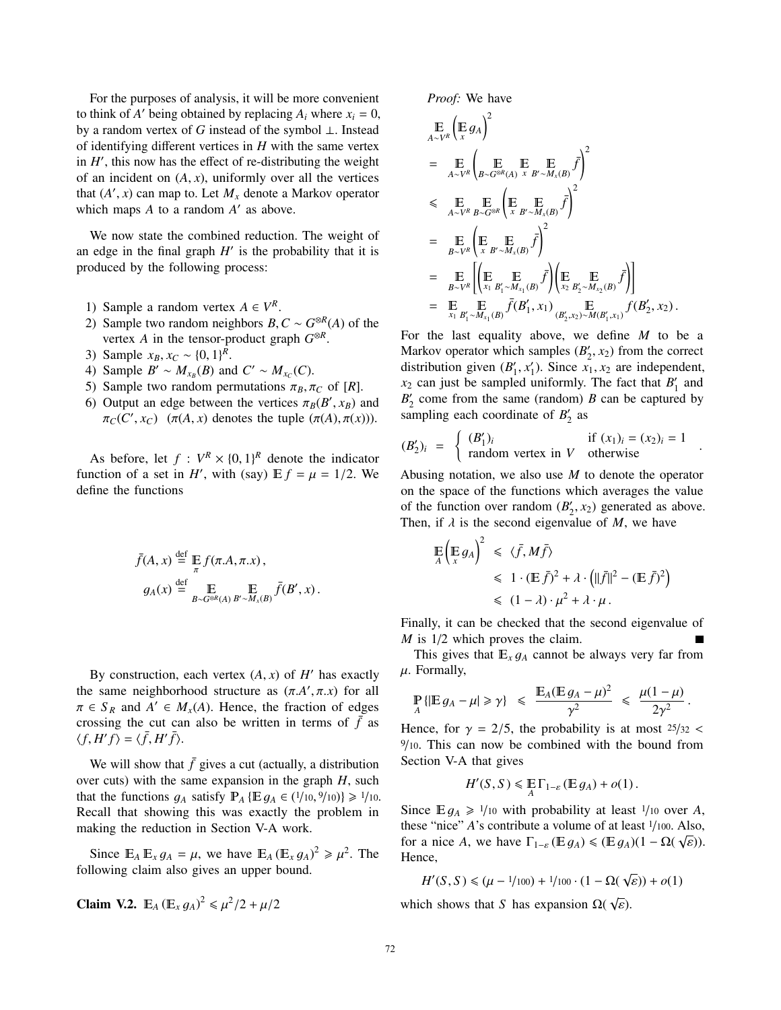For the purposes of analysis, it will be more convenient to think of *A'* being obtained by replacing  $A_i$  where  $x_i = 0$ , by a random vertex of *G* instead of the symbol ⊥. Instead of identifying different vertices in *H* with the same vertex in  $H'$ , this now has the effect of re-distributing the weight of an incident on  $(A, x)$ , uniformly over all the vertices that  $(A', x)$  can map to. Let  $M_x$  denote a Markov operator<br>which maps A to a random  $A'$  as above which maps  $A$  to a random  $A'$  as above.

We now state the combined reduction. The weight of an edge in the final graph  $H'$  is the probability that it is produced by the following process:

- 1) Sample a random vertex  $A \in V^R$ .
- 2) Sample two random neighbors *B*,  $C \sim G^{\otimes R}(A)$  of the vertex *A* in the tensor-product graph  $G^{\otimes R}$ .
- 3) Sample  $x_B, x_C \sim \{0, 1\}^R$ .<br>4) Sample  $B' \sim M$  (*R*) and
- 4) Sample  $B' \sim M_{x_B}(B)$  and  $C' \sim M_{x_C}(C)$ .
- 5) Sample two random permutations  $\pi_B, \pi_C$  of [*R*].
- 6) Output an edge between the vertices  $\pi_B(B', x_B)$  and  $\pi_B(C', x_B)$  ( $\pi(A, x)$  denotes the tuple  $(\pi(A), \pi(x)))$ )  $\pi_C(C', x_C)$  ( $\pi(A, x)$  denotes the tuple  $(\pi(A), \pi(x))$ ).

As before, let  $f: V^R \times \{0, 1\}^R$  denote the indicator<br>notion of a set in  $H'$  with  $(sav) \to f - \mu - 1/2$ . function of a set in *H'*, with (say)  $E f = \mu = 1/2$ . We define the functions define the functions

$$
\bar{f}(A, x) \stackrel{\text{def}}{=} \mathop{\mathbb{E}}_{\pi} f(\pi.A, \pi.x),
$$

$$
g_A(x) \stackrel{\text{def}}{=} \mathop{\mathbb{E}}_{B \sim G^{\otimes R}(A)} \mathop{\mathbb{E}}_{B' \sim M_x(B)} \bar{f}(B', x).
$$

By construction, each vertex  $(A, x)$  of  $H'$  has exactly the same neighborhood structure as  $(\pi.A', \pi.x)$  for all  $\pi \in S_0$  and  $A' \in M(A)$ . Hence, the fraction of edges  $\pi \in S_R$  and  $A' \in M_{\mathfrak{X}}(A)$ . Hence, the fraction of edges crossing the cut can also be written in terms of  $\bar{f}$  as  $\langle f, H'f \rangle = \langle \bar{f}, H' \bar{f} \rangle.$ 

We will show that  $\bar{f}$  gives a cut (actually, a distribution over cuts) with the same expansion in the graph *H*, such that the functions  $g_A$  satisfy  $P_A \{ \mathbb{E} g_A \in (1/10, 9/10) \} \geq 1/10$ . Recall that showing this was exactly the problem in making the reduction in Section V-A work.

Since  $\mathbb{E}_A \mathbb{E}_x g_A = \mu$ , we have  $\mathbb{E}_A (\mathbb{E}_x g_A)^2 \ge \mu^2$ . The lowing claim also gives an unper bound following claim also gives an upper bound.

**Claim V.2.** 
$$
\mathbb{E}_A (\mathbb{E}_x g_A)^2 \le \mu^2 / 2 + \mu / 2
$$

*Proof:* We have

$$
\mathbb{E}_{A\sim V^R} \left( \mathbb{E} g_A \right)^2
$$
\n
$$
= \mathbb{E}_{A\sim V^R} \left( \mathbb{E}_{B\sim G^{\otimes R}(A)} \mathbb{E}_{B\sim M_x(B)} f \right)^2
$$
\n
$$
\leq \mathbb{E}_{A\sim V^R} \mathbb{E}_{B\sim G^{\otimes R}} \left( \mathbb{E}_{X \sim M_x(B)} f \right)^2
$$
\n
$$
= \mathbb{E}_{B\sim V^R} \left( \mathbb{E}_{X \sim M_x(B)} f \right)^2
$$
\n
$$
= \mathbb{E}_{B\sim V^R} \left( \mathbb{E}_{X \sim M_x(B)} f \right)^2
$$
\n
$$
= \mathbb{E}_{B\sim V^R} \left( \mathbb{E}_{X \sim M_x(B)} f \right) \left( \mathbb{E}_{X \sim M_x(B)} f \right)
$$
\n
$$
= \mathbb{E}_{X \sim N} \mathbb{E}_{A \sim M_x(B)} f(B \mid X \mid X) \mathbb{E}_{B \sim X^R} f(B \mid X \mid X) \right)
$$

For the last equality above, we define *M* to be a Markov operator which samples  $(B'_2, x_2)$  from the correct<br>distribution given  $(B'_1, x'_1)$ . Since  $x_1, x_2$  are independent distribution given  $(B'_1, x'_1)$ . Since  $\overline{x}_1, x_2$  are independent,<br>  $\overline{x}_2$  can just be sampled uniformly. The fact that  $B'_1$  and  $x_2$  can just be sampled uniformly. The fact that  $B'_1$  and  $B_2$  come from the same (random) *B* can be captured by sampling each coordinate of  $B_2$  as

$$
(B'_2)_i = \begin{cases} (B'_1)_i & \text{if } (x_1)_i = (x_2)_i = 1 \\ \text{random vertex in } V & \text{otherwise} \end{cases}.
$$

Abusing notation, we also use *M* to denote the operator on the space of the functions which averages the value of the function over random  $(B'_2, x_2)$  generated as above.<br>Then if d is the second eigenvalue of M, we have Then, if  $\lambda$  is the second eigenvalue of  $M$ , we have

$$
\mathbb{E}\left(\mathbb{E} g_A\right)^2 \leq \langle \bar{f}, M\bar{f}\rangle
$$
  
\$\leqslant 1 \cdot (\mathbb{E} \bar{f})^2 + \lambda \cdot \left( \|\bar{f}\|^2 - (\mathbb{E} \bar{f})^2 \right)\$  
\$\leqslant (1 - \lambda) \cdot \mu^2 + \lambda \cdot \mu\$.

Finally, it can be checked that the second eigenvalue of *M* is 1/2 which proves the claim.

This gives that  $E_x g_A$  cannot be always very far from  $\mu$ . Formally,

$$
\mathbb{P}\left\{|\mathbb{E}\,g_A-\mu|\geqslant\gamma\right\} \leqslant \frac{\mathbb{E}_A(\mathbb{E}\,g_A-\mu)^2}{\gamma^2} \leqslant \frac{\mu(1-\mu)}{2\gamma^2}.
$$

Hence, for  $\gamma = 2/5$ , the probability is at most  $25/32 <$ <br>9/10. This can now be combined with the bound from  $9/10$ . This can now be combined with the bound from Section V-A that gives Section V-A that gives

$$
H'(S, S) \leq \mathop{\mathbb{E}}_A \Gamma_{1-\varepsilon}(\mathop{\mathbb{E}} g_A) + o(1) \, .
$$

Since  $\mathbb{E} q_A \ge 1/10$  with probability at least  $1/10$  over A, these "nice" *A*'s contribute a volume of at least <sup>1</sup>/100. Also,<br>for a nice *A*, we have  $\Gamma$ . (Eq.)  $\leq$  (Eq.)(1 –  $O(\sqrt{\epsilon})$ ) for a nice *A*, we have  $\Gamma_{1-\varepsilon}(\mathbb{E} g_A) \leq (\mathbb{E} g_A)(1 - \Omega(\sqrt{\varepsilon}))$ .<br>Hence Hence,

$$
H'(S, S) \le (\mu - 1/100) + 1/100 \cdot (1 - \Omega(\sqrt{\varepsilon})) + o(1)
$$

which shows that *S* has expansion Ω( √ ε).